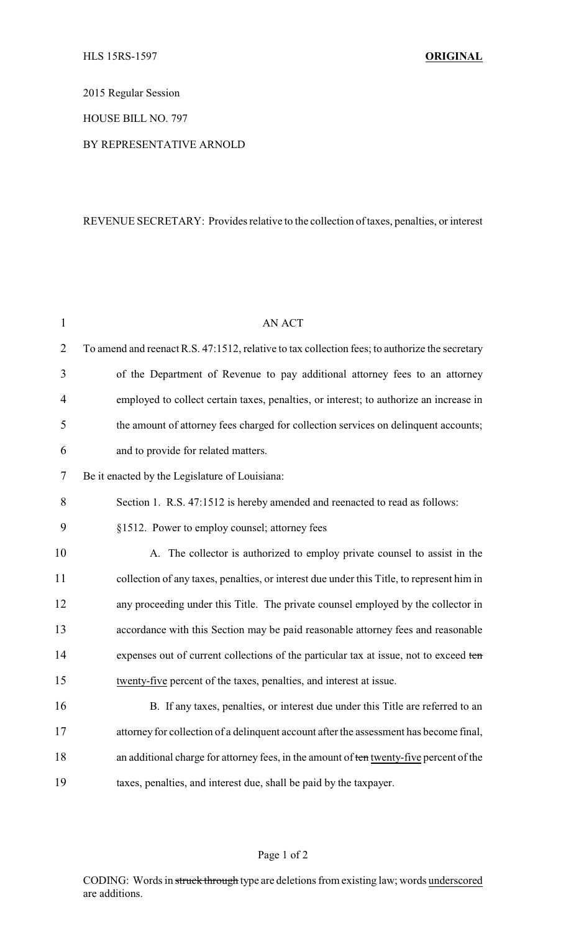2015 Regular Session

HOUSE BILL NO. 797

## BY REPRESENTATIVE ARNOLD

## REVENUE SECRETARY: Provides relative to the collection of taxes, penalties, or interest

| $\mathbf{1}$   | <b>AN ACT</b>                                                                                  |
|----------------|------------------------------------------------------------------------------------------------|
| $\overline{2}$ | To amend and reenact R.S. 47:1512, relative to tax collection fees; to authorize the secretary |
| 3              | of the Department of Revenue to pay additional attorney fees to an attorney                    |
| $\overline{4}$ | employed to collect certain taxes, penalties, or interest; to authorize an increase in         |
| 5              | the amount of attorney fees charged for collection services on delinquent accounts;            |
| 6              | and to provide for related matters.                                                            |
| 7              | Be it enacted by the Legislature of Louisiana:                                                 |
| 8              | Section 1. R.S. 47:1512 is hereby amended and reenacted to read as follows:                    |
| 9              | §1512. Power to employ counsel; attorney fees                                                  |
| 10             | A. The collector is authorized to employ private counsel to assist in the                      |
| 11             | collection of any taxes, penalties, or interest due under this Title, to represent him in      |
| 12             | any proceeding under this Title. The private counsel employed by the collector in              |
| 13             | accordance with this Section may be paid reasonable attorney fees and reasonable               |
| 14             | expenses out of current collections of the particular tax at issue, not to exceed ten          |
| 15             | twenty-five percent of the taxes, penalties, and interest at issue.                            |
| 16             | B. If any taxes, penalties, or interest due under this Title are referred to an                |
| 17             | attorney for collection of a delinquent account after the assessment has become final,         |
| 18             | an additional charge for attorney fees, in the amount of ten twenty-five percent of the        |
| 19             | taxes, penalties, and interest due, shall be paid by the taxpayer.                             |

## Page 1 of 2

CODING: Words in struck through type are deletions from existing law; words underscored are additions.